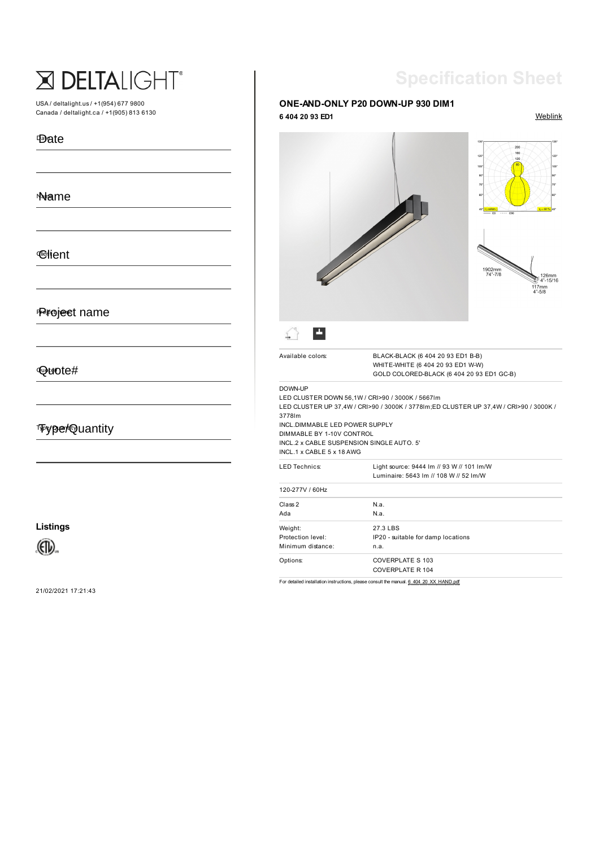# X DELTALIGHT®

USA / deltalight.us / +1(954) 677 9800 Canada / deltalight.ca / +1(905) 813 6130

#### Date Date

### Name Name

# **C**ilient

## Project name Project name

### Quote# Quote#

# Type/Quanty Type/Quantity

**Listings**

 $\bigoplus$ 

21/02/2021 17:21:43

# **Specification Sheet**

#### **6 404 20 93 ED1** [Weblink](https://www.deltalight.us/en/products/detail/one-and-only-p20-down-up-930-dim1-6-404-20-93-ed1) **ONE-AND-ONLY P20 DOWN-UP 930 DIM1**



DOWN-UP

3778lm

LED CLUSTER DOWN 56,1W / CRI>90 / 3000K / 5667lm LED CLUSTER UP 37,4W / CRI>90 / 3000K / 3778lm;ED CLUSTER UP 37,4W / CRI>90 / 3000K / INCL.DIMMABLE LED POWER SUPPLY Available colors: BLACK-BLACK (6 404 20 93 ED1 B-B) WHITE-WHITE (6 404 20 93 ED1 W-W) GOLD COLORED-BLACK (6 404 20 93 ED1 GC-B)

DIMMABLE BY 1-10V CONTROL INCL.2 x CABLE SUSPENSION SINGLE AUTO. 5'

INCL.1 x CABLE 5 x 18 AWG

| <b>LED Technics:</b>                              | Light source: 9444 Im // 93 W // 101 Im/W<br>Luminaire: 5643 Im // 108 W // 52 Im/W |  |
|---------------------------------------------------|-------------------------------------------------------------------------------------|--|
| 120-277V / 60Hz                                   |                                                                                     |  |
| Class 2<br>Ada                                    | N.a.<br>N.a.                                                                        |  |
| Weight:<br>Protection level:<br>Minimum distance: | 27.3 LBS<br>IP20 - suitable for damp locations<br>n.a.                              |  |
| Options:                                          | COVERPLATE S 103<br>COVERPLATE R 104                                                |  |

For detailed installation instructions, please consult the manual. [6\\_404\\_20\\_XX\\_HAND.pdf](https://www.deltalight.us/frontend/files/downloads/manual/6_404_20_XX_HAND.pdf)